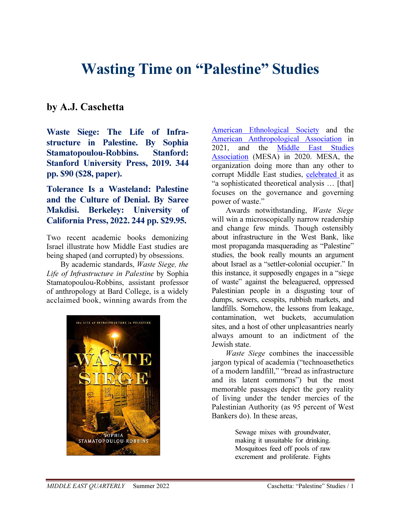## Wasting Time on "Palestine" Studies

## by A.J. Caschetta

Waste Siege: The Life of Infrastructure in Palestine. By Sophia Stamatopoulou-Robbins. Stanford: Stanford University Press, 2019. 344 pp. \$90 (\$28, paper).

Tolerance Is a Wasteland: Palestine and the Culture of Denial. By Saree Makdisi. Berkeley: University of California Press, 2022. 244 pp. \$29.95.

Two recent academic books demonizing Israel illustrate how Middle East studies are being shaped (and corrupted) by obsessions.

By academic standards, Waste Siege, the Life of Infrastructure in Palestine by Sophia Stamatopoulou-Robbins, assistant professor of anthropology at Bard College, is a widely acclaimed book, winning awards from the



American Ethnological Society and the American Anthropological Association in 2021, and the Middle East Studies Association (MESA) in 2020. MESA, the organization doing more than any other to corrupt Middle East studies, celebrated it as "a sophisticated theoretical analysis … [that] focuses on the governance and governing power of waste."

Awards notwithstanding, Waste Siege will win a microscopically narrow readership and change few minds. Though ostensibly about infrastructure in the West Bank, like most propaganda masquerading as "Palestine" studies, the book really mounts an argument about Israel as a "settler-colonial occupier." In this instance, it supposedly engages in a "siege of waste" against the beleaguered, oppressed Palestinian people in a disgusting tour of dumps, sewers, cesspits, rubbish markets, and landfills. Somehow, the lessons from leakage, contamination, wet buckets, accumulation sites, and a host of other unpleasantries nearly always amount to an indictment of the Jewish state.

Waste Siege combines the inaccessible jargon typical of academia ("technoasethetics of a modern landfill," "bread as infrastructure and its latent commons") but the most memorable passages depict the gory reality of living under the tender mercies of the Palestinian Authority (as 95 percent of West Bankers do). In these areas,

> Sewage mixes with groundwater, making it unsuitable for drinking. Mosquitoes feed off pools of raw excrement and proliferate. Fights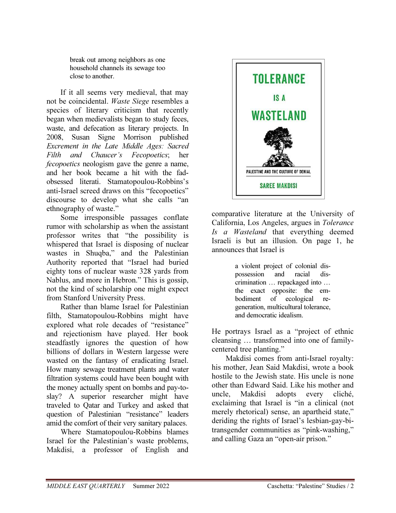break out among neighbors as one household channels its sewage too close to another.

If it all seems very medieval, that may not be coincidental. Waste Siege resembles a species of literary criticism that recently began when medievalists began to study feces, waste, and defecation as literary projects. In 2008, Susan Signe Morrison published Excrement in the Late Middle Ages: Sacred Filth and Chaucer's Fecopoetics; her fecopoetics neologism gave the genre a name, and her book became a hit with the fadobsessed literati. Stamatopoulou-Robbins's anti-Israel screed draws on this "fecopoetics" discourse to develop what she calls "an ethnography of waste."

Some irresponsible passages conflate rumor with scholarship as when the assistant professor writes that "the possibility is whispered that Israel is disposing of nuclear wastes in Shuqba," and the Palestinian Authority reported that "Israel had buried eighty tons of nuclear waste 328 yards from Nablus, and more in Hebron." This is gossip, not the kind of scholarship one might expect from Stanford University Press.

Rather than blame Israel for Palestinian filth, Stamatopoulou-Robbins might have explored what role decades of "resistance" and rejectionism have played. Her book steadfastly ignores the question of how billions of dollars in Western largesse were wasted on the fantasy of eradicating Israel. How many sewage treatment plants and water filtration systems could have been bought with the money actually spent on bombs and pay-toslay? A superior researcher might have traveled to Qatar and Turkey and asked that question of Palestinian "resistance" leaders amid the comfort of their very sanitary palaces.

Where Stamatopoulou-Robbins blames Israel for the Palestinian's waste problems, Makdisi, a professor of English and



comparative literature at the University of California, Los Angeles, argues in Tolerance Is a Wasteland that everything deemed Israeli is but an illusion. On page 1, he announces that Israel is

> a violent project of colonial dispossession and racial discrimination … repackaged into … the exact opposite: the embodiment of ecological regeneration, multicultural tolerance, and democratic idealism.

He portrays Israel as a "project of ethnic cleansing … transformed into one of familycentered tree planting."

Makdisi comes from anti-Israel royalty: his mother, Jean Said Makdisi, wrote a book hostile to the Jewish state. His uncle is none other than Edward Said. Like his mother and uncle, Makdisi adopts every cliché, exclaiming that Israel is "in a clinical (not merely rhetorical) sense, an apartheid state," deriding the rights of Israel's lesbian-gay-bitransgender communities as "pink-washing," and calling Gaza an "open-air prison."